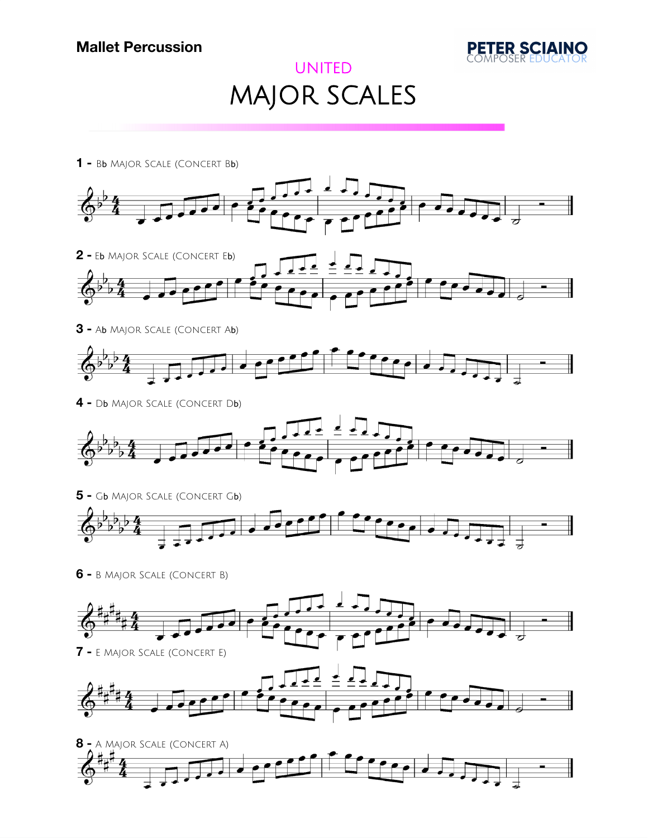

## UNITED MAJOR SCALES

**-** B<sup>b</sup> Major Scale (Concert Bb)



**-** A<sup>b</sup> Major Scale (Concert Ab)



**-** D<sup>b</sup> Major Scale (Concert Db)





**-** B Major Scale (Concert B)